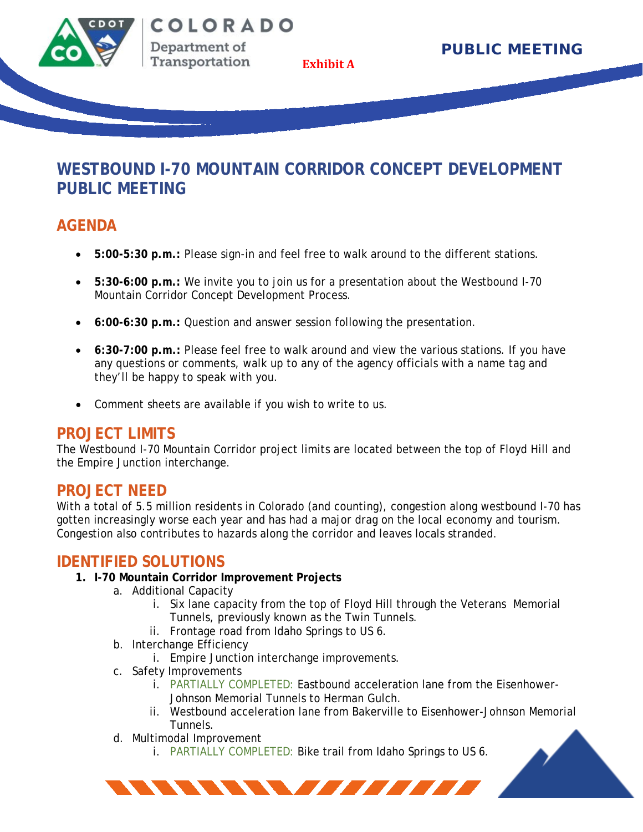

Transportation

**Exhibit A**

## **WESTBOUND I-70 MOUNTAIN CORRIDOR CONCEPT DEVELOPMENT PUBLIC MEETING**

## **AGENDA**

- **5:00-5:30 p.m.:** Please sign-in and feel free to walk around to the different stations.
- **5:30-6:00 p.m.:** We invite you to join us for a presentation about the Westbound I-70 Mountain Corridor Concept Development Process.
- **6:00-6:30 p.m.:** Question and answer session following the presentation.
- **6:30-7:00 p.m.:** Please feel free to walk around and view the various stations. If you have any questions or comments, walk up to any of the agency officials with a name tag and they'll be happy to speak with you.
- Comment sheets are available if you wish to write to us.

### **PROJECT LIMITS**

The Westbound I-70 Mountain Corridor project limits are located between the top of Floyd Hill and the Empire Junction interchange.

### **PROJECT NEED**

With a total of 5.5 million residents in Colorado (and counting), congestion along westbound I-70 has gotten increasingly worse each year and has had a major drag on the local economy and tourism. Congestion also contributes to hazards along the corridor and leaves locals stranded.

### **IDENTIFIED SOLUTIONS**

- **1. I-70 Mountain Corridor Improvement Projects**
	- a. Additional Capacity
		- i. Six lane capacity from the top of Floyd Hill through the Veterans Memorial Tunnels, previously known as the Twin Tunnels.
		- ii. Frontage road from Idaho Springs to US 6.
	- b. Interchange Efficiency
		- i. Empire Junction interchange improvements.
	- c. Safety Improvements
		- i. PARTIALLY COMPLETED: Eastbound acceleration lane from the Eisenhower-Johnson Memorial Tunnels to Herman Gulch.
		- ii. Westbound acceleration lane from Bakerville to Eisenhower-Johnson Memorial Tunnels.
	- d. Multimodal Improvement
		- i. PARTIALLY COMPLETED: Bike trail from Idaho Springs to US 6.

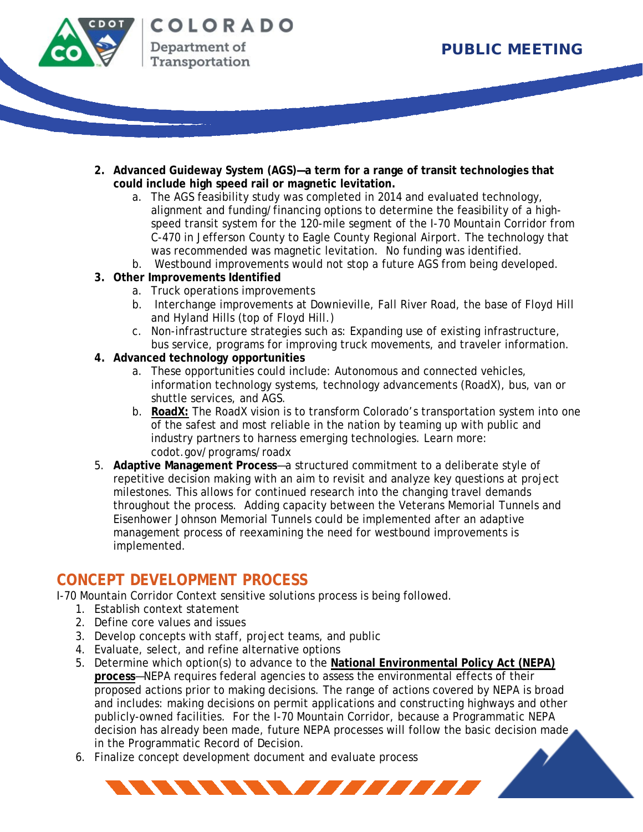

- **2. Advanced Guideway System (AGS)—a term for a range of transit technologies that could include high speed rail or magnetic levitation.**
	- a. The AGS feasibility study was completed in 2014 and evaluated technology, alignment and funding/financing options to determine the feasibility of a highspeed transit system for the 120-mile segment of the I-70 Mountain Corridor from C-470 in Jefferson County to Eagle County Regional Airport. The technology that was recommended was magnetic levitation. No funding was identified.
	- b. Westbound improvements would not stop a future AGS from being developed.
- **3. Other Improvements Identified**
	- a. Truck operations improvements
	- b. Interchange improvements at Downieville, Fall River Road, the base of Floyd Hill and Hyland Hills (top of Floyd Hill.)
	- c. Non-infrastructure strategies such as: Expanding use of existing infrastructure, bus service, programs for improving truck movements, and traveler information.
- **4. Advanced technology opportunities**
	- a. These opportunities could include: Autonomous and connected vehicles, information technology systems, technology advancements (RoadX), bus, van or shuttle services, and AGS.
	- b. **RoadX:** The RoadX vision is to transform Colorado's transportation system into one of the safest and most reliable in the nation by teaming up with public and industry partners to harness emerging technologies. Learn more: codot.gov/programs/roadx
- 5. **Adaptive Management Process**—a structured commitment to a deliberate style of repetitive decision making with an aim to revisit and analyze key questions at project milestones. This allows for continued research into the changing travel demands throughout the process. Adding capacity between the Veterans Memorial Tunnels and Eisenhower Johnson Memorial Tunnels could be implemented after an adaptive management process of reexamining the need for westbound improvements is implemented.

## **CONCEPT DEVELOPMENT PROCESS**

I-70 Mountain Corridor Context sensitive solutions process is being followed.

- 1. Establish context statement
- 2. Define core values and issues
- 3. Develop concepts with staff, project teams, and public
- 4. Evaluate, select, and refine alternative options
- 5. Determine which option(s) to advance to the **National Environmental Policy Act (NEPA) process**—NEPA requires federal agencies to assess the environmental effects of their proposed actions prior to making decisions. The range of actions covered by NEPA is broad and includes: making decisions on permit applications and constructing highways and other publicly-owned facilities. For the I-70 Mountain Corridor, because a Programmatic NEPA decision has already been made, future NEPA processes will follow the basic decision made in the Programmatic Record of Decision.

NN NN NN AILITIR

6. Finalize concept development document and evaluate process